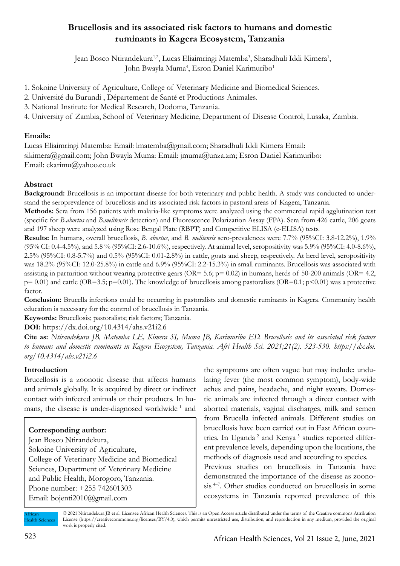# **Brucellosis and its associated risk factors to humans and domestic ruminants in Kagera Ecosystem, Tanzania**

Jean Bosco Ntirandekura<sup>1,2</sup>, Lucas Eliaimringi Matemba<sup>3</sup>, Sharadhuli Iddi Kimera<sup>1</sup>, John Bwayla Muma<sup>4</sup>, Esron Daniel Karimuribo<sup>1</sup>

- 1. Sokoine University of Agriculture, College of Veterinary Medicine and Biomedical Sciences.
- 2. Université du Burundi , Département de Santé et Productions Animales.
- 3. National Institute for Medical Research, Dodoma, Tanzania.
- 4. University of Zambia, School of Veterinary Medicine, Department of Disease Control, Lusaka, Zambia.

### **Emails:**

Lucas Eliaimringi Matemba: Email: lmatemba@gmail.com; Sharadhuli Iddi Kimera Email: sikimera@gmail.com; John Bwayla Muma: Email: jmuma@unza.zm; Esron Daniel Karimuribo: Email: ekarimu@yahoo.co.uk

## **Abstract**

**Background:** Brucellosis is an important disease for both veterinary and public health. A study was conducted to understand the seroprevalence of brucellosis and its associated risk factors in pastoral areas of Kagera, Tanzania.

**Methods:** Sera from 156 patients with malaria-like symptoms were analyzed using the commercial rapid agglutination test (specific for *B.abortus* and *B.melitensis* detection) and Fluorescence Polarization Assay (FPA). Sera from 426 cattle, 206 goats and 197 sheep were analyzed using Rose Bengal Plate (RBPT) and Competitive ELISA (c-ELISA) tests.

**Results:** In humans, overall brucellosis, *B. abortus*, and *B. melitensis* sero-prevalences were 7.7% (95%CI: 3.8-12.2%), 1.9% (95% CI: 0.4-4.5%), and 5.8 % (95%CI: 2.6-10.6%), respectively. At animal level, seropositivity was 5.9% (95%CI: 4.0-8.6%), 2.5% (95%CI: 0.8-5.7%) and 0.5% (95%CI: 0.01-2.8%) in cattle, goats and sheep, respectively. At herd level, seropositivity was 18.2% (95%CI: 12.0-25.8%) in cattle and 6.9% (95%CI: 2.2-15.3%) in small ruminants. Brucellosis was associated with assisting in parturition without wearing protective gears (OR=  $5.6$ ; p=  $0.02$ ) in humans, herds of  $50-200$  animals (OR=  $4.2$ ,  $p= 0.01$ ) and cattle (OR=3.5;  $p=0.01$ ). The knowledge of brucellosis among pastoralists (OR=0.1;  $p<0.01$ ) was a protective factor.

**Conclusion:** Brucella infections could be occurring in pastoralists and domestic ruminants in Kagera. Community health education is necessary for the control of brucellosis in Tanzania.

**Keywords:** Brucellosis; pastoralists; risk factors; Tanzania.

**DOI:** https://dx.doi.org/10.4314/ahs.v21i2.6

**Cite as:** *Ntirandekura JB, Matemba LE, Kimera SI, Muma JB, Karimuribo ED. Brucellosis and its associated risk factors to humans and domestic ruminants in Kagera Ecosystem, Tanzania. Afri Health Sci. 2021;21(2). 523-530. https://dx.doi. org/10.4314/ahs.v21i2.6*

## **Introduction**

Brucellosis is a zoonotic disease that affects humans and animals globally. It is acquired by direct or indirect contact with infected animals or their products. In humans, the disease is under-diagnosed worldwide<sup>1</sup> and

## **Corresponding author:**

Jean Bosco Ntirandekura, Sokoine University of Agriculture, College of Veterinary Medicine and Biomedical Sciences, Department of Veterinary Medicine and Public Health, Morogoro, Tanzania. Phone number: +255 742601303 Email: bojenti2010@gmail.com

the symptoms are often vague but may include: undulating fever (the most common symptom), body-wide aches and pains, headache, and night sweats. Domestic animals are infected through a direct contact with aborted materials, vaginal discharges, milk and semen from Brucella infected animals. Different studies on brucellosis have been carried out in East African countries. In Uganda<sup>2</sup> and Kenya<sup>3</sup> studies reported different prevalence levels, depending upon the locations, the methods of diagnosis used and according to species. Previous studies on brucellosis in Tanzania have demonstrated the importance of the disease as zoonosis 4–7. Other studies conducted on brucellosis in some ecosystems in Tanzania reported prevalence of this

African **Health Sciences** 

<sup>© 2021</sup> Ntirandekura JB et al. Licensee African Health Sciences. This is an Open Access article distributed under the terms of the Creative commons Attribution License (https://creativecommons.org/licenses/BY/4.0), which permits unrestricted use, distribution, and reproduction in any medium, provided the original work is properly cited.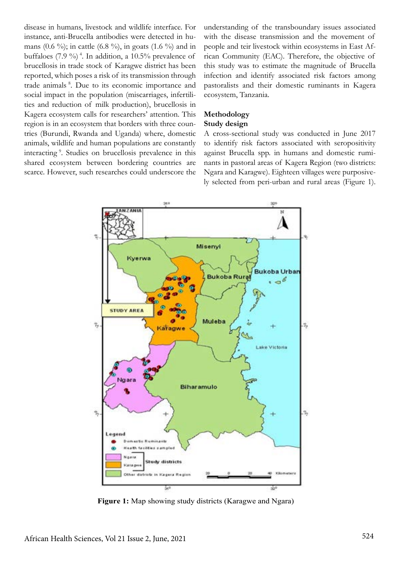disease in humans, livestock and wildlife interface. For instance, anti-Brucella antibodies were detected in humans  $(0.6 \%)$ ; in cattle  $(6.8 \%)$ , in goats  $(1.6 \%)$  and in buffaloes (7.9 %) 4. In addition, a 10.5% prevalence of brucellosis in trade stock of Karagwe district has been reported, which poses a risk of its transmission through trade animals 8. Due to its economic importance and social impact in the population (miscarriages, infertilities and reduction of milk production), brucellosis in Kagera ecosystem calls for researchers' attention. This region is in an ecosystem that borders with three countries (Burundi, Rwanda and Uganda) where, domestic animals, wildlife and human populations are constantly interacting 9. Studies on brucellosis prevalence in this shared ecosystem between bordering countries are scarce. However, such researches could underscore the understanding of the transboundary issues associated with the disease transmission and the movement of people and teir livestock within ecosystems in East African Community (EAC). Therefore, the objective of this study was to estimate the magnitude of Brucella infection and identify associated risk factors among pastoralists and their domestic ruminants in Kagera ecosystem, Tanzania.

#### **Methodology**

#### **Study design**

A cross-sectional study was conducted in June 2017 to identify risk factors associated with seropositivity against Brucella spp. in humans and domestic ruminants in pastoral areas of Kagera Region (two districts: Ngara and Karagwe). Eighteen villages were purposively selected from peri-urban and rural areas (Figure 1).



 **Figure 1:** Map showing study districts (Karagwe and Ngara)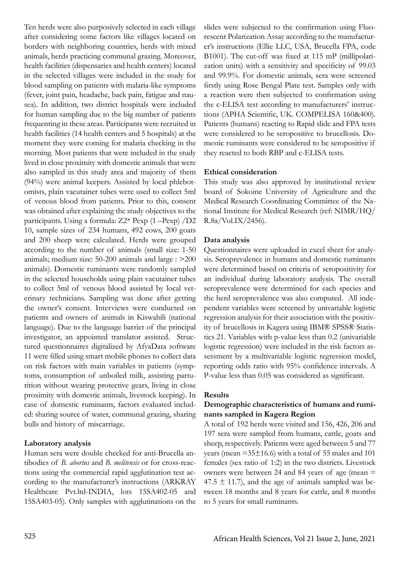Ten herds were also purposively selected in each village after considering some factors like villages located on borders with neighboring countries, herds with mixed animals, herds practicing communal grazing. Moreover, health facilities (dispensaries and health centers) located in the selected villages were included in the study for blood sampling on patients with malaria-like symptoms (fever, joint pain, headache, back pain, fatigue and nausea). In addition, two district hospitals were included for human sampling due to the big number of patients frequenting in these areas. Participants were recruited in health facilities (14 health centers and 5 hospitals) at the moment they were coming for malaria checking in the morning. Most patients that were included in the study lived in close proximity with domestic animals that were also sampled in this study area and majority of them (94%) were animal keepers. Assisted by local phlebotomists, plain vacutainer tubes were used to collect 5ml of venous blood from patients. Prior to this, consent was obtained after explaining the study objectives to the participants. Using a formula: Z2\* Pexp (1 –Pexp) /D2 10, sample sizes of 234 humans, 492 cows, 200 goats and 200 sheep were calculated. Herds were grouped according to the number of animals (small size: 1-50 animals; medium size: 50-200 animals and large : >200 animals). Domestic ruminants were randomly sampled in the selected households using plain vacutainer tubes to collect 5ml of venous blood assisted by local veterinary technicians. Sampling was done after getting the owner's consent. Interviews were conducted on patients and owners of animals in Kiswahili (national language). Due to the language barrier of the principal investigator, an appointed translator assisted. Structured questionnaires digitalized by AfyaData software 11 were filled using smart mobile phones to collect data on risk factors with main variables in patients (symptoms, consumption of unboiled milk, assisting parturition without wearing protective gears, living in close proximity with domestic animals, livestock keeping). In case of domestic ruminants, factors evaluated included: sharing source of water, communal grazing, sharing bulls and history of miscarriage.

## **Laboratory analysis**

Human sera were double checked for anti-Brucella antibodies of *B. abortus* and *B. melitensis* or for cross-reactions using the commercial rapid agglutination test according to the manufacturer's instructions (ARKRAY Healthcare Pvt.ltd-INDIA, lots 15SA402-05 and 15SA403-05). Only samples with agglutinations on the slides were subjected to the confirmation using Fluorescent Polarization Assay according to the manufacturer's instructions (Ellie LLC, USA, Brucella FPA, code B1001). The cut-off was fixed at 115 mP (millipolarization units) with a sensitivity and specificity of 99.03 and 99.9%. For domestic animals, sera were screened firstly using Rose Bengal Plate test. Samples only with a reaction were then subjected to confirmation using the c-ELISA test according to manufacturers' instructions (APHA Scientific, UK. COMPELISA 160&400). Patients (humans) reacting to Rapid slide and FPA tests were considered to be seropositive to brucellosis. Domestic ruminants were considered to be seropositive if they reacted to both RBP and c-ELISA tests.

### **Ethical consideration**

This study was also approved by institutional review board of Sokoine University of Agriculture and the Medical Research Coordinating Committee of the National Institute for Medical Research (ref: NIMR/HQ/ R.8a/Vol.IX/2456).

### **Data analysis**

Questionnaires were uploaded in excel sheet for analysis. Seroprevalence in humans and domestic ruminants were determined based on criteria of seropositivity for an individual during laboratory analysis. The overall seroprevalence were determined for each species and the herd seroprevalence was also computed. All independent variables were screened by univariable logistic regression analysis for their association with the positivity of brucellosis in Kagera using IBM® SPSS® Statistics 21. Variables with p-value less than 0.2 (univariable logistic regression) were included in the risk factors assessment by a multivariable logistic regression model, reporting odds ratio with 95% confidence intervals. A P-value less than 0.05 was considered as significant.

### **Results**

## **Demographic characteristics of humans and ruminants sampled in Kagera Region**

A total of 192 herds were visited and 156, 426, 206 and 197 sera were sampled from humans, cattle, goats and sheep, respectively. Patients were aged between 5 and 77 years (mean  $=35\pm16.6$ ) with a total of 55 males and 101 females (sex ratio of 1:2) in the two districts. Livestock owners were between 24 and 84 years of age (mean =  $47.5 \pm 11.7$ , and the age of animals sampled was between 18 months and 8 years for cattle, and 8 months to 5 years for small ruminants.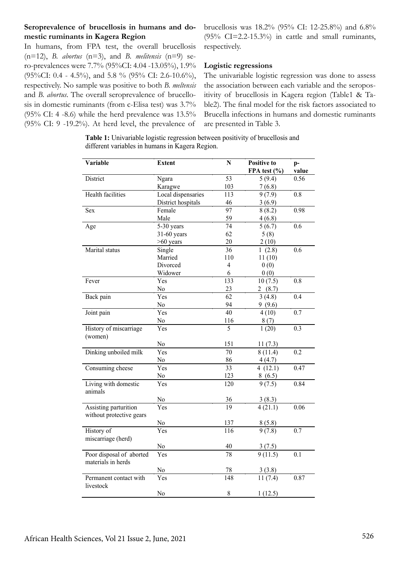### **Seroprevalence of brucellosis in humans and domestic ruminants in Kagera Region**

sis in domestic ruminants (from c-Elisa test) was 3.7%  $(95\% \text{ CI: } 4 \text{ -}8.6)$  while the herd prevalence was  $13.5\%$ (95% CI:  $9 - 19.2\%$ ). At herd level, the prevalence of

In humans, from FPA test, the overall brucellosis (n=12), *B. abortus* (n=3), and *B. melitensis* (n=9) sero-prevalences were 7.7% (95%CI: 4.04 -13.05%), 1.9% (95%CI: 0.4 - 4.5%), and 5.8 % (95% CI: 2.6-10.6%), respectively. No sample was positive to both *B. meltensis* and *B. abortus*. The overall seroprevalence of brucellorespectively.

brucellosis was 18.2% (95% CI: 12-25.8%) and 6.8%  $(95\% \text{ CI} = 2.2 - 15.3\%)$  in cattle and small ruminants,

### **Logistic regressions**

The univariable logistic regression was done to assess the association between each variable and the seropositivity of brucellosis in Kagera region (Table1 & Table2). The final model for the risk factors associated to Brucella infections in humans and domestic ruminants are presented in Table 3.

**Table 1:** Univariable logistic regression between positivity of brucellosis and different variables in humans in Kagera Region.

| Variable                                          | <b>Extent</b>      | ${\bf N}$        | <b>Positive to</b><br>FPA test (%) | $p-$<br>value    |
|---------------------------------------------------|--------------------|------------------|------------------------------------|------------------|
| District                                          | Ngara              | $\overline{53}$  | 5(9.4)                             | 0.56             |
|                                                   | Karagwe            | 103              | 7(6.8)                             |                  |
| <b>Health facilities</b>                          | Local dispensaries | 113              | 9(7.9)                             | 0.8              |
|                                                   | District hospitals | 46               | 3(6.9)                             |                  |
| Sex                                               | Female             | $\overline{97}$  | 8(8.2)                             | 0.98             |
|                                                   | Male               | 59               | 4(6.8)                             |                  |
| Age                                               | 5-30 years         | 74               | 5(6.7)                             | 0.6              |
|                                                   | $31-60$ years      | 62               | 5(8)                               |                  |
|                                                   | $>60$ years        | 20               | 2(10)                              |                  |
| Marital status                                    | Single             | 36               | 1(2.8)                             | 0.6              |
|                                                   | Married            | 110              | 11(10)                             |                  |
|                                                   | Divorced           | $\overline{4}$   | 0(0)                               |                  |
|                                                   | Widower            | 6                | 0(0)                               |                  |
| Fever                                             | Yes                | 133              | 10(7.5)                            | 0.8              |
|                                                   | No                 | 23               | 2(8.7)                             |                  |
| Back pain                                         | Yes                | 62               | 3(4.8)                             | $\overline{0.4}$ |
|                                                   | No                 | 94               | 9(9.6)                             |                  |
| Joint pain                                        | Yes                | 40               | 4(10)                              | 0.7              |
|                                                   | No                 | 116              | 8(7)                               |                  |
| History of miscarriage<br>(women)                 | Yes                | $\overline{5}$   | 1(20)                              | $\overline{0.3}$ |
|                                                   | No                 | 151              | 11(7.3)                            |                  |
| Dinking unboiled milk                             | $\overline{Y}$ es  | 70               | 8(11.4)                            | 0.2              |
|                                                   | No                 | 86               | 4(4.7)                             |                  |
| Consuming cheese                                  | Yes                | 33               | 4(12.1)                            | 0.47             |
|                                                   | No                 | 123              |                                    |                  |
| Living with domestic<br>animals                   | Yes                | $\overline{120}$ | $\frac{8(6.5)}{9(7.5)}$            | 0.84             |
|                                                   | No                 | 36               | $\frac{3(8.3)}{4(21.1)}$           |                  |
| Assisting parturition<br>without protective gears | Yes                | $\overline{19}$  |                                    | 0.06             |
|                                                   | No                 | 137              | 8(5.8)                             |                  |
| History of                                        | Yes                | $\overline{116}$ | 9(7.8)                             | 0.7              |
| miscarriage (herd)                                |                    |                  |                                    |                  |
|                                                   | No                 | 40               | 3(7.5)                             |                  |
| Poor disposal of aborted<br>materials in herds    | Yes                | 78               | 9(11.5)                            | $\overline{0.1}$ |
|                                                   | No                 | 78               | 3(3.8)                             |                  |
| Permanent contact with<br>livestock               | Yes                | 148              | 11(7.4)                            | 0.87             |
|                                                   | No                 | $\,$ $\,$        | 1(12.5)                            |                  |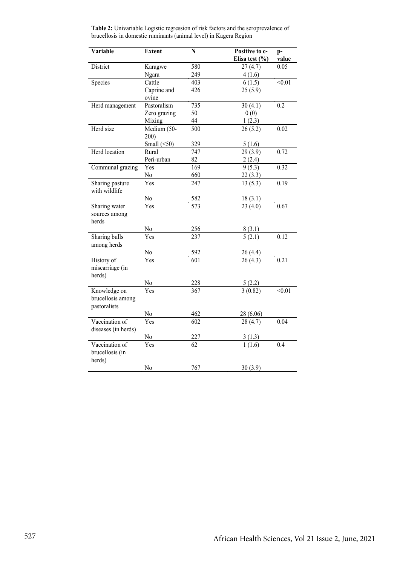| Variable                                          | <b>Extent</b>                            | $\mathbf N$       | Positive to c-              | p-            |
|---------------------------------------------------|------------------------------------------|-------------------|-----------------------------|---------------|
|                                                   |                                          |                   | Elisa test (%)              | value         |
| District                                          | Karagwe                                  | 580               | 27(4.7)                     | 0.05          |
|                                                   | Ngara                                    | 249               | 4(1.6)                      |               |
| Species                                           | Cattle                                   | 403               | 6(1.5)                      | $\sqrt{0.01}$ |
|                                                   | Caprine and<br>ovine                     | 426               | 25(5.9)                     |               |
| Herd management                                   | Pastoralism                              | 735               | 30(4.1)                     | 0.2           |
|                                                   | Zero grazing                             | 50                | 0(0)                        |               |
|                                                   | Mixing                                   | 44                | 1(2.3)                      |               |
| Herd size                                         | $\overline{\text{M}}$ edium (50-<br>200) | 500               | 26(5.2)                     | 0.02          |
|                                                   | Small $(\leq 50)$                        | 329               | 5(1.6)                      |               |
| Herd location                                     | Rural                                    | 747               | 29(3.9)                     | 0.72          |
|                                                   | Peri-urban                               | 82                | 2(2.4)                      |               |
| Communal grazing                                  | Yes                                      | 169               | 9(5.3)                      | 0.32          |
|                                                   | No                                       | 660               | 22(3.3)                     |               |
| Sharing pasture<br>with wildlife                  | Yes                                      | 247               | 13(5.3)                     | 0.19          |
|                                                   | No                                       |                   | 18(3.1)                     |               |
| Sharing water                                     | Yes                                      | $\frac{582}{573}$ | 23(4.0)                     | 0.67          |
| sources among<br>herds                            |                                          |                   |                             |               |
|                                                   | No                                       | 256               |                             |               |
| Sharing bulls<br>among herds                      | Yes                                      | $\overline{237}$  | $\frac{8(3.1)}{5(2.1)}$     | 0.12          |
|                                                   | No                                       | 592               |                             |               |
| History of<br>miscarriage (in<br>herds)           | Yes                                      | 601               | $\frac{26(4.4)}{26(4.3)}$   | 0.21          |
|                                                   | $\underline{No}$                         |                   |                             |               |
| Knowledge on<br>brucellosis among<br>pastoralists | Yes                                      | $\frac{228}{367}$ | $\frac{5(2.2)}{3(0.82)}$    | < 0.01        |
|                                                   |                                          |                   |                             |               |
| Vaccination of                                    | No<br>Yes                                | <u>462</u><br>602 | <u>28 (6.06)</u><br>28(4.7) | 0.04          |
| diseases (in herds)                               |                                          |                   |                             |               |
|                                                   | $\overline{N_0}$                         | 227               | 3(1.3)                      |               |
| Vaccination of<br>brucellosis (in<br>herds)       | Yes                                      | 62                | 1(1.6)                      | 0.4           |
|                                                   | No                                       | 767               | 30(3.9)                     |               |

**Table 2:** Univariable Logistic regression of risk factors and the seroprevalence of brucellosis in domestic ruminants (animal level) in Kagera Region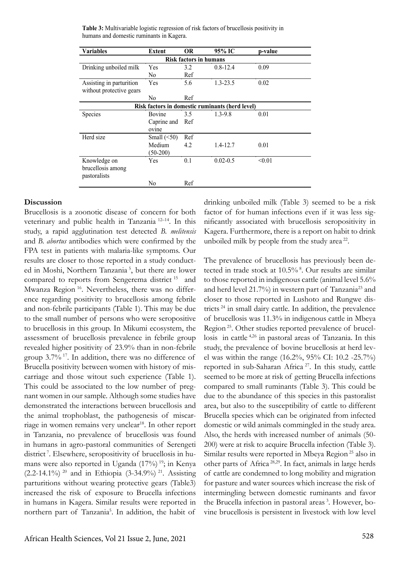| <b>Variables</b>                                | <b>Extent</b>     | OR. | 95% IC       | p-value |  |  |  |  |
|-------------------------------------------------|-------------------|-----|--------------|---------|--|--|--|--|
| <b>Risk factors in humans</b>                   |                   |     |              |         |  |  |  |  |
| Drinking unboiled milk                          | Yes               | 3.2 | $0.8 - 12.4$ | 0.09    |  |  |  |  |
|                                                 | No                | Ref |              |         |  |  |  |  |
| Assisting in parturition                        | Yes               | 5.6 | $1.3 - 23.5$ | 0.02    |  |  |  |  |
| without protective gears                        |                   |     |              |         |  |  |  |  |
|                                                 | No                | Ref |              |         |  |  |  |  |
| Risk factors in domestic ruminants (herd level) |                   |     |              |         |  |  |  |  |
| <b>Species</b>                                  | Bovine            | 3.5 | 1.3-9.8      | 0.01    |  |  |  |  |
|                                                 | Caprine and       | Ref |              |         |  |  |  |  |
|                                                 | ovine             |     |              |         |  |  |  |  |
| Herd size                                       | Small $(\leq 50)$ | Ref |              |         |  |  |  |  |
|                                                 | Medium            | 4.2 | 1.4-12.7     | 0.01    |  |  |  |  |
|                                                 | $(50-200)$        |     |              |         |  |  |  |  |
| Knowledge on                                    | Yes               | 0.1 | $0.02 - 0.5$ | < 0.01  |  |  |  |  |
| brucellosis among                               |                   |     |              |         |  |  |  |  |
| pastoralists                                    |                   |     |              |         |  |  |  |  |
|                                                 | No                | Ref |              |         |  |  |  |  |

**Table 3:** Multivariable logistic regression of risk factors of brucellosis positivity in humans and domestic ruminants in Kagera.

#### **Discussion**

Brucellosis is a zoonotic disease of concern for both veterinary and public health in Tanzania 12–14. In this study, a rapid agglutination test detected *B. melitensis*  and *B. abortus* antibodies which were confirmed by the FPA test in patients with malaria-like symptoms. Our results are closer to those reported in a study conducted in Moshi, Northern Tanzania 5, but there are lower compared to reports from Sengerema district<sup>15</sup> and Mwanza Region 16. Nevertheless, there was no difference regarding positivity to brucellosis among febrile and non-febrile participants (Table 1). This may be due to the small number of persons who were seropositive to brucellosis in this group. In Mikumi ecosystem, the assessment of brucellosis prevalence in febrile group revealed higher positivity of 23.9% than in non-febrile group 3.7% 17. In addition, there was no difference of Brucella positivity between women with history of miscarriage and those witout such experience (Table 1). This could be associated to the low number of pregnant women in our sample. Although some studies have demonstrated the interactions between brucellosis and the animal trophoblast, the pathogenesis of miscarriage in women remains very unclear<sup>18</sup>. In other report in Tanzania, no prevalence of brucellosis was found in humans in agro-pastoral communities of Serengeti district<sup>7</sup>. Elsewhere, seropositivity of brucellosis in humans were also reported in Uganda (17%)<sup>19</sup>; in Kenya (2.2-14.1%)<sup>20</sup> and in Ethiopia (3-34.9%)<sup>21</sup>. Assisting parturitions without wearing protective gears (Table3) increased the risk of exposure to Brucella infections in humans in Kagera. Similar results were reported in northern part of Tanzania<sup>5</sup>. In addition, the habit of

drinking unboiled milk (Table 3) seemed to be a risk factor of for human infections even if it was less significantly associated with brucellosis seropositivity in Kagera. Furthermore, there is a report on habit to drink unboiled milk by people from the study area  $22$ .

The prevalence of brucellosis has previously been detected in trade stock at 10.5% 8. Our results are similar to those reported in indigenous cattle (animal level 5.6% and herd level 21.7%) in western part of Tanzania<sup>23</sup> and closer to those reported in Lushoto and Rungwe districts 24 in small dairy cattle. In addition, the prevalence of brucellosis was 11.3% in indigenous cattle in Mbeya Region 25. Other studies reported prevalence of brucellosis in cattle 4,26 in pastoral areas of Tanzania. In this study, the prevalence of bovine brucellosis at herd level was within the range (16.2%, 95% CI: 10.2 -25.7%) reported in sub-Saharan Africa<sup>27</sup>. In this study, cattle seemed to be more at risk of getting Brucella infections compared to small ruminants (Table 3). This could be due to the abundance of this species in this pastoralist area, but also to the susceptibility of cattle to different Brucella species which can be originated from infected domestic or wild animals commingled in the study area. Also, the herds with increased number of animals (50- 200) were at risk to acquire Brucella infection (Table 3). Similar results were reported in Mbeya Region 25 also in other parts of Africa 28,29. In fact, animals in large herds of cattle are condemned to long mobility and migration for pasture and water sources which increase the risk of intermingling between domestic ruminants and favor the Brucella infection in pastoral areas 3. However, bovine brucellosis is persistent in livestock with low level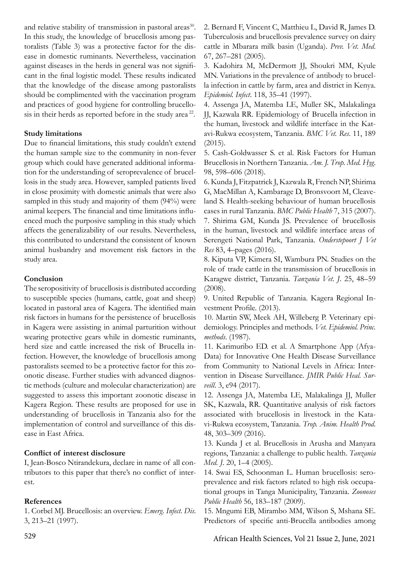and relative stability of transmission in pastoral areas<sup>30</sup>. In this study, the knowledge of brucellosis among pastoralists (Table 3) was a protective factor for the disease in domestic ruminants. Nevertheless, vaccination against diseases in the herds in general was not significant in the final logistic model. These results indicated that the knowledge of the disease among pastoralists should be complimented with the vaccination program and practices of good hygiene for controlling brucellosis in their herds as reported before in the study area<sup>22</sup>.

### **Study limitations**

Due to financial limitations, this study couldn't extend the human sample size to the community in non-fever group which could have generated additional information for the understanding of seroprevalence of brucellosis in the study area. However, sampled patients lived in close proximity with domestic animals that were also sampled in this study and majority of them (94%) were animal keepers. The financial and time limitations influenced much the purposive sampling in this study which affects the generalizability of our results. Nevertheless, this contributed to understand the consistent of known animal husbandry and movement risk factors in the study area.

### **Conclusion**

The seropositivity of brucellosis is distributed according to susceptible species (humans, cattle, goat and sheep) located in pastoral area of Kagera. The identified main risk factors in humans for the persistence of brucellosis in Kagera were assisting in animal parturition without wearing protective gears while in domestic ruminants, herd size and cattle increased the risk of Brucella infection. However, the knowledge of brucellosis among pastoralists seemed to be a protective factor for this zoonotic disease. Further studies with advanced diagnostic methods (culture and molecular characterization) are suggested to assess this important zoonotic disease in Kagera Region. These results are proposed for use in understanding of brucellosis in Tanzania also for the implementation of control and surveillance of this disease in East Africa.

### **Conflict of interest disclosure**

I, Jean-Bosco Ntirandekura, declare in name of all contributors to this paper that there's no conflict of interest.

## **References**

1. Corbel MJ. Brucellosis: an overview. *Emerg. Infect. Dis*. 3, 213–21 (1997).

2. Bernard F, Vincent C, Matthieu L, David R, James D. Tuberculosis and brucellosis prevalence survey on dairy cattle in Mbarara milk basin (Uganda). *Prev. Vet. Med*. 67, 267–281 (2005).

3. Kadohira M, McDermott JJ, Shoukri MM, Kyule MN. Variations in the prevalence of antibody to brucella infection in cattle by farm, area and district in Kenya. *Epidemiol. Infect*. 118, 35–41 (1997).

4. Assenga JA, Matemba LE, Muller SK, Malakalinga JJ, Kazwala RR. Epidemiology of Brucella infection in the human, livestock and wildlife interface in the Katavi-Rukwa ecosystem, Tanzania. *BMC Vet. Res*. 11, 189 (2015).

5. Cash-Goldwasser S. et al. Risk Factors for Human Brucellosis in Northern Tanzania. *Am. J. Trop. Med. Hyg*. 98, 598–606 (2018).

6. Kunda J, Fitzpatrick J, Kazwala R, French NP, Shirima G, MacMillan A, Kambarage D, Bronsvoort M, Cleaveland S. Health-seeking behaviour of human brucellosis cases in rural Tanzania. *BMC Public Health* 7, 315 (2007). 7. Shirima GM, Kunda JS. Prevalence of brucellosis in the human, livestock and wildlife interface areas of Serengeti National Park, Tanzania. *Onderstepoort J Vet Res* 83, 4–pages (2016).

8. Kiputa VP, Kimera SI, Wambura PN. Studies on the role of trade cattle in the transmission of brucellosis in Karagwe district, Tanzania. *Tanzania Vet. J*. 25, 48–59 (2008).

9. United Republic of Tanzania. Kagera Regional Investment Profile. (2013).

10. Martin SW, Meek AH, Willeberg P. Veterinary epidemiology. Principles and methods. *Vet. Epidemiol. Princ. methods*. (1987).

11. Karimuribo ED. et al. A Smartphone App (Afya-Data) for Innovative One Health Disease Surveillance from Community to National Levels in Africa: Intervention in Disease Surveillance. *JMIR Public Heal. Surveill*. 3, e94 (2017).

12. Assenga JA, Matemba LE, Malakalinga JJ, Muller SK, Kazwala, RR. Quantitative analysis of risk factors associated with brucellosis in livestock in the Katavi-Rukwa ecosystem, Tanzania. *Trop. Anim. Health Prod*. 48, 303–309 (2016).

13. Kunda J et al. Brucellosis in Arusha and Manyara regions, Tanzania: a challenge to public health. *Tanzania Med. J*. 20, 1–4 (2005).

14. Swai ES, Schoonman L. Human brucellosis: seroprevalence and risk factors related to high risk occupational groups in Tanga Municipality, Tanzania. *Zoonoses Public Health* 56, 183–187 (2009).

15. Mngumi EB, Mirambo MM, Wilson S, Mshana SE. Predictors of specific anti-Brucella antibodies among

529 African Health Sciences, Vol 21 Issue 2, June, 2021